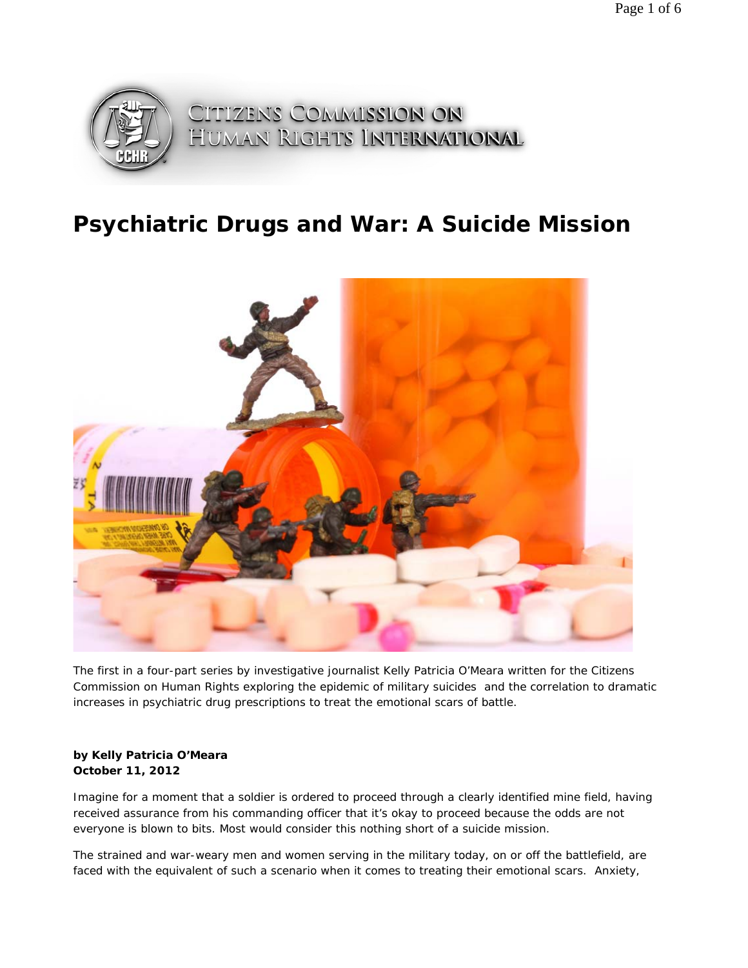

## **Psychiatric Drugs and War: A Suicide Mission**



*The first in a four-part series by investigative journalist Kelly Patricia O'Meara written for the Citizens Commission on Human Rights exploring the epidemic of military suicides and the correlation to dramatic increases in psychiatric drug prescriptions to treat the emotional scars of battle.* 

## **by Kelly Patricia O'Meara October 11, 2012**

Imagine for a moment that a soldier is ordered to proceed through a clearly identified mine field, having received assurance from his commanding officer that it's okay to proceed because the odds are not everyone is blown to bits. Most would consider this nothing short of a suicide mission.

The strained and war-weary men and women serving in the military today, on or off the battlefield, are faced with the equivalent of such a scenario when it comes to treating their emotional scars. Anxiety,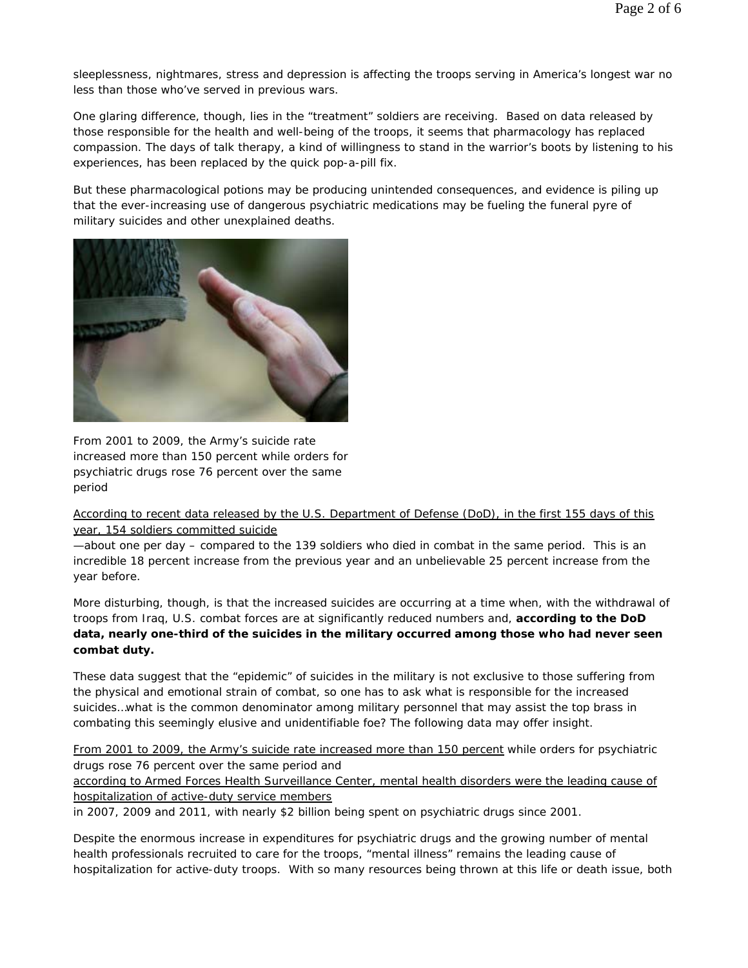sleeplessness, nightmares, stress and depression is affecting the troops serving in America's longest war no less than those who've served in previous wars.

One glaring difference, though, lies in the "treatment" soldiers are receiving. Based on data released by those responsible for the health and well-being of the troops, it seems that pharmacology has replaced compassion. The days of talk therapy, a kind of willingness to stand in the warrior's boots by listening to his experiences, has been replaced by the quick pop-a-pill fix.

But these pharmacological potions may be producing unintended consequences, and evidence is piling up that the ever-increasing use of dangerous psychiatric medications may be fueling the funeral pyre of military suicides and other unexplained deaths.



From 2001 to 2009, the Army's suicide rate increased more than 150 percent while orders for psychiatric drugs rose 76 percent over the same period

According to recent data released by the U.S. Department of Defense (DoD), in the first 155 days of this year, 154 soldiers committed suicide

—about one per day – compared to the 139 soldiers who died in combat in the same period. This is an incredible 18 percent increase from the previous year and an unbelievable 25 percent increase from the year before.

More disturbing, though, is that the increased suicides are occurring at a time when, with the withdrawal of troops from Iraq, U.S. combat forces are at significantly reduced numbers and, **according to the DoD data, nearly one-third of the suicides in the military occurred among those who had never seen combat duty.**

These data suggest that the "epidemic" of suicides in the military is not exclusive to those suffering from the physical and emotional strain of combat, so one has to ask what is responsible for the increased suicides…what is the common denominator among military personnel that may assist the top brass in combating this seemingly elusive and unidentifiable foe? The following data may offer insight.

From 2001 to 2009, the Army's suicide rate increased more than 150 percent while orders for psychiatric drugs rose 76 percent over the same period and

according to Armed Forces Health Surveillance Center, mental health disorders were the leading cause of hospitalization of active-duty service members

in 2007, 2009 and 2011, with nearly \$2 billion being spent on psychiatric drugs since 2001.

Despite the enormous increase in expenditures for psychiatric drugs and the growing number of mental health professionals recruited to care for the troops, "mental illness" remains the leading cause of hospitalization for active-duty troops. With so many resources being thrown at this life or death issue, both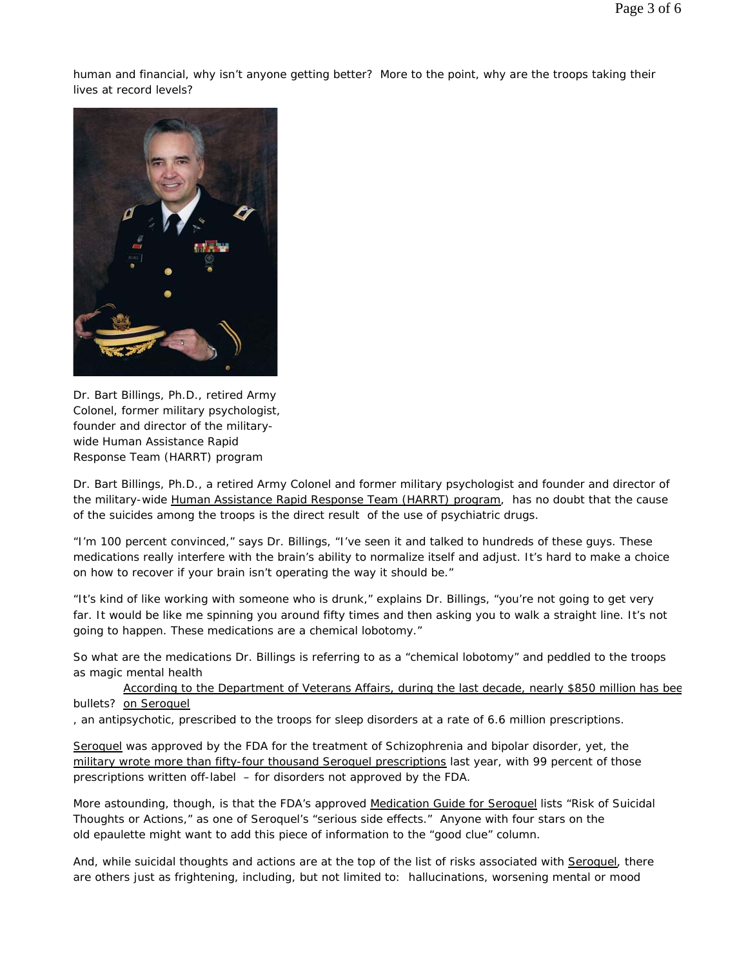human and financial, why isn't anyone getting better? More to the point, why are the troops taking their lives at record levels?



Dr. Bart Billings, Ph.D., retired Army Colonel, former military psychologist, founder and director of the militarywide Human Assistance Rapid Response Team (HARRT) program

Dr. Bart Billings, Ph.D., a retired Army Colonel and former military psychologist and founder and director of the military-wide Human Assistance Rapid Response Team (HARRT) program, has no doubt that the cause of the suicides among the troops is the direct result of the use of psychiatric drugs.

"I'm 100 percent convinced," says Dr. Billings, "I've seen it and talked to hundreds of these guys. These medications really interfere with the brain's ability to normalize itself and adjust. It's hard to make a choice on how to recover if your brain isn't operating the way it should be."

"It's kind of like working with someone who is drunk," explains Dr. Billings, "you're not going to get very far. It would be like me spinning you around fifty times and then asking you to walk a straight line. It's not going to happen. These medications are a chemical lobotomy."

So what are the medications Dr. Billings is referring to as a "chemical lobotomy" and peddled to the troops as magic mental health

bullets? on Seroquel According to the Department of Veterans Affairs, during the last decade, nearly \$850 million has bee

, an antipsychotic, prescribed to the troops for sleep disorders at a rate of 6.6 million prescriptions.

Seroquel was approved by the FDA for the treatment of Schizophrenia and bipolar disorder, yet, the military wrote more than fifty-four thousand Seroquel prescriptions last year, with 99 percent of those prescriptions written off-label – for disorders not approved by the FDA.

More astounding, though, is that the FDA's approved Medication Guide for Seroquel lists "Risk of Suicidal Thoughts or Actions," as one of Seroquel's "serious side effects." Anyone with four stars on the old epaulette might want to add this piece of information to the "good clue" column.

And, while suicidal thoughts and actions are at the top of the list of risks associated with Seroquel, there are others just as frightening, including, but not limited to: hallucinations, worsening mental or mood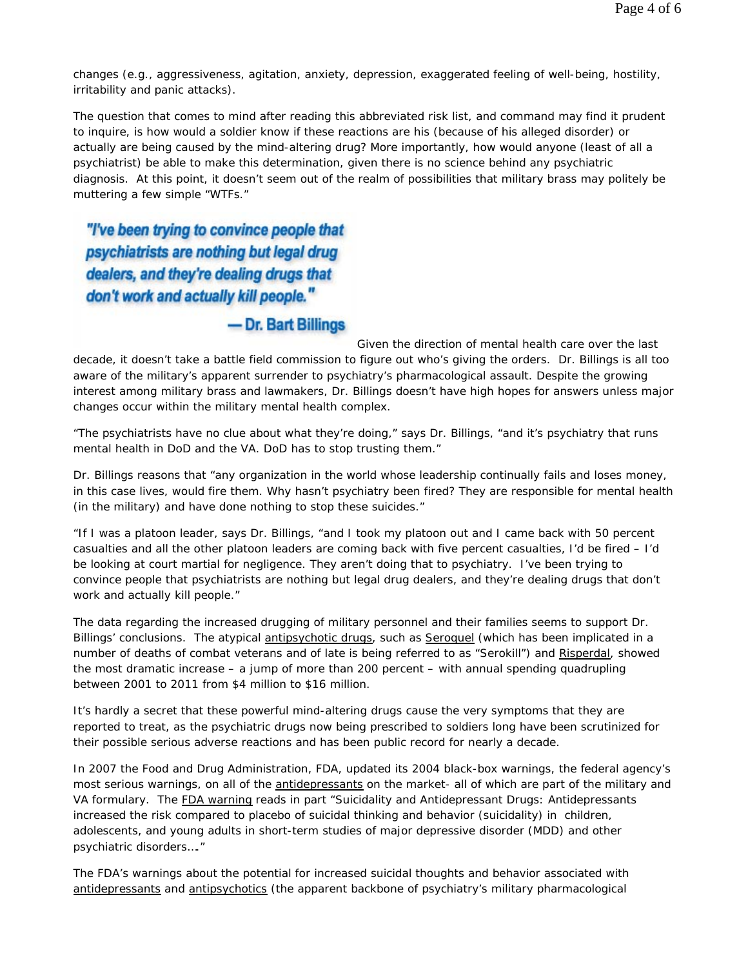changes (e.g., aggressiveness, agitation, anxiety, depression, exaggerated feeling of well-being, hostility, irritability and panic attacks).

The question that comes to mind after reading this abbreviated risk list, and command may find it prudent to inquire, is how would a soldier know if these reactions are his (because of his alleged disorder) or actually are being caused by the mind-altering drug? More importantly, how would anyone (least of all a psychiatrist) be able to make this determination, given there is no science behind any psychiatric diagnosis. At this point, it doesn't seem out of the realm of possibilities that military brass may politely be muttering a few simple "WTFs."

"I've been trying to convince people that psychiatrists are nothing but legal drug dealers, and they're dealing drugs that don't work and actually kill people."

## - Dr. Bart Billings

Given the direction of mental health care over the last decade, it doesn't take a battle field commission to figure out who's giving the orders. Dr. Billings is all too aware of the military's apparent surrender to psychiatry's pharmacological assault. Despite the growing interest among military brass and lawmakers, Dr. Billings doesn't have high hopes for answers unless major changes occur within the military mental health complex.

"The psychiatrists have no clue about what they're doing," says Dr. Billings, "and it's psychiatry that runs mental health in DoD and the VA. DoD has to stop trusting them."

Dr. Billings reasons that "any organization in the world whose leadership continually fails and loses money, in this case lives, would fire them. Why hasn't psychiatry been fired? They are responsible for mental health (in the military) and have done nothing to stop these suicides."

"If I was a platoon leader, says Dr. Billings, "and I took my platoon out and I came back with 50 percent casualties and all the other platoon leaders are coming back with five percent casualties, I'd be fired – I'd be looking at court martial for negligence. They aren't doing that to psychiatry. I've been trying to convince people that psychiatrists are nothing but legal drug dealers, and they're dealing drugs that don't work and actually kill people."

The data regarding the increased drugging of military personnel and their families seems to support Dr. Billings' conclusions. The atypical antipsychotic drugs, such as Seroquel (which has been implicated in a number of deaths of combat veterans and of late is being referred to as "Serokill") and Risperdal, showed the most dramatic increase – a jump of more than 200 percent – with annual spending quadrupling between 2001 to 2011 from \$4 million to \$16 million.

It's hardly a secret that these powerful mind-altering drugs cause the very symptoms that they are reported to treat, as the psychiatric drugs now being prescribed to soldiers long have been scrutinized for their possible serious adverse reactions and has been public record for nearly a decade.

In 2007 the Food and Drug Administration, FDA, updated its 2004 black-box warnings, the federal agency's most serious warnings, on all of the antidepressants on the market- all of which are part of the military and VA formulary. The FDA warning reads in part "Suicidality and Antidepressant Drugs: Antidepressants increased the risk compared to placebo of suicidal thinking and behavior (suicidality) in children, adolescents, and young adults in short-term studies of major depressive disorder (MDD) and other psychiatric disorders…."

The FDA's warnings about the potential for increased suicidal thoughts and behavior associated with antidepressants and antipsychotics (the apparent backbone of psychiatry's military pharmacological